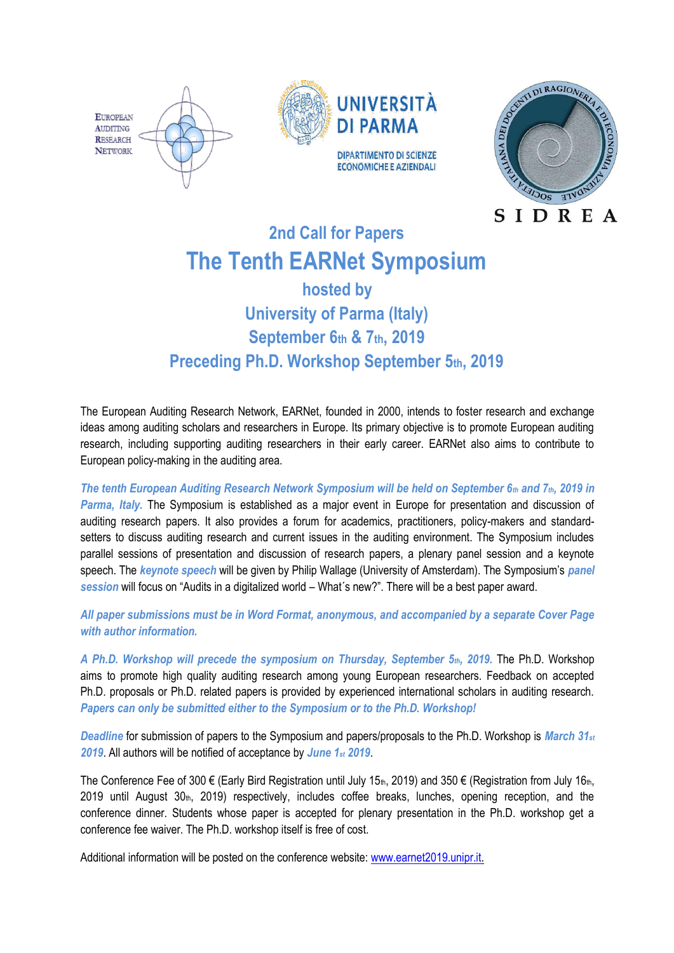



# **2nd Call for Papers The Tenth EARNet Symposium**

# **hosted by University of Parma (Italy) September 6th & 7th, 2019 Preceding Ph.D. Workshop September 5th, 2019**

The European Auditing Research Network, EARNet, founded in 2000, intends to foster research and exchange ideas among auditing scholars and researchers in Europe. Its primary objective is to promote European auditing research, including supporting auditing researchers in their early career. EARNet also aims to contribute to European policy-making in the auditing area.

*The tenth European Auditing Research Network Symposium will be held on September 6th and 7th, 2019 in Parma, Italy.* The Symposium is established as a major event in Europe for presentation and discussion of auditing research papers. It also provides a forum for academics, practitioners, policy-makers and standardsetters to discuss auditing research and current issues in the auditing environment. The Symposium includes parallel sessions of presentation and discussion of research papers, a plenary panel session and a keynote speech. The *keynote speech* will be given by Philip Wallage (University of Amsterdam). The Symposium's *panel session* will focus on "Audits in a digitalized world – What´s new?". There will be a best paper award.

*All paper submissions must be in Word Format, anonymous, and accompanied by a separate Cover Page with author information.*

*A Ph.D. Workshop will precede the symposium on Thursday, September 5th, 2019.* The Ph.D. Workshop aims to promote high quality auditing research among young European researchers. Feedback on accepted Ph.D. proposals or Ph.D. related papers is provided by experienced international scholars in auditing research. *Papers can only be submitted either to the Symposium or to the Ph.D. Workshop!*

*Deadline* for submission of papers to the Symposium and papers/proposals to the Ph.D. Workshop is *March 31st 2019*. All authors will be notified of acceptance by *June 1st 2019*.

The Conference Fee of 300 € (Early Bird Registration until July 15th, 2019) and 350 € (Registration from July 16th, 2019 until August 30th, 2019) respectively, includes coffee breaks, lunches, opening reception, and the conference dinner. Students whose paper is accepted for plenary presentation in the Ph.D. workshop get a conference fee waiver. The Ph.D. workshop itself is free of cost.

Additional information will be posted on the conference website: [www.earnet2019.unipr.it.](http://www.earnet2019.unipr.it/)